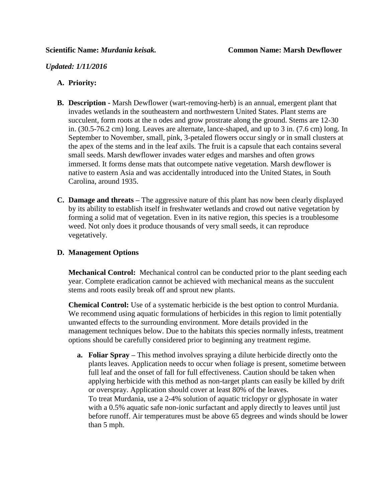### *Updated: 1/11/2016*

## **A. Priority:**

- **B. Description -** Marsh Dewflower (wart-removing-herb) is an annual, emergent plant that invades wetlands in the southeastern and northwestern United States. Plant stems are succulent, form roots at the n odes and grow prostrate along the ground. Stems are 12-30 in. (30.5-76.2 cm) long. Leaves are alternate, lance-shaped, and up to 3 in. (7.6 cm) long. In September to November, small, pink, 3-petaled flowers occur singly or in small clusters at the apex of the stems and in the leaf axils. The fruit is a capsule that each contains several small seeds. Marsh dewflower invades water edges and marshes and often grows immersed. It forms dense mats that outcompete native vegetation. Marsh dewflower is native to eastern Asia and was accidentally introduced into the United States, in South Carolina, around 1935.
- **C. Damage and threats –** The aggressive nature of this plant has now been clearly displayed by its ability to establish itself in freshwater wetlands and crowd out native vegetation by forming a solid mat of vegetation. Even in its native region, this species is a troublesome weed. Not only does it produce thousands of very small seeds, it can reproduce vegetatively.

### **D. Management Options**

**Mechanical Control:** Mechanical control can be conducted prior to the plant seeding each year. Complete eradication cannot be achieved with mechanical means as the succulent stems and roots easily break off and sprout new plants.

**Chemical Control:** Use of a systematic herbicide is the best option to control Murdania. We recommend using aquatic formulations of herbicides in this region to limit potentially unwanted effects to the surrounding environment. More details provided in the management techniques below. Due to the habitats this species normally infests, treatment options should be carefully considered prior to beginning any treatment regime.

**a. Foliar Spray –** This method involves spraying a dilute herbicide directly onto the plants leaves. Application needs to occur when foliage is present, sometime between full leaf and the onset of fall for full effectiveness. Caution should be taken when applying herbicide with this method as non-target plants can easily be killed by drift or overspray. Application should cover at least 80% of the leaves. To treat Murdania, use a 2-4% solution of aquatic triclopyr or glyphosate in water with a 0.5% aquatic safe non-ionic surfactant and apply directly to leaves until just before runoff. Air temperatures must be above 65 degrees and winds should be lower than 5 mph.